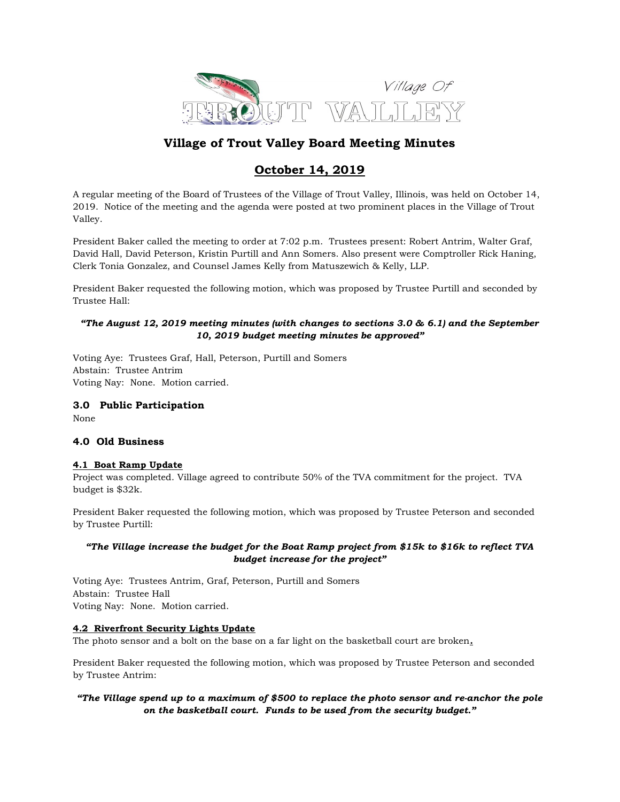

# Village of Trout Valley Board Meeting Minutes

# October 14, 2019

A regular meeting of the Board of Trustees of the Village of Trout Valley, Illinois, was held on October 14, 2019. Notice of the meeting and the agenda were posted at two prominent places in the Village of Trout Valley.

President Baker called the meeting to order at 7:02 p.m. Trustees present: Robert Antrim, Walter Graf, David Hall, David Peterson, Kristin Purtill and Ann Somers. Also present were Comptroller Rick Haning, Clerk Tonia Gonzalez, and Counsel James Kelly from Matuszewich & Kelly, LLP.

President Baker requested the following motion, which was proposed by Trustee Purtill and seconded by Trustee Hall:

# "The August 12, 2019 meeting minutes (with changes to sections 3.0 & 6.1) and the September 10, 2019 budget meeting minutes be approved"

Voting Aye: Trustees Graf, Hall, Peterson, Purtill and Somers Abstain: Trustee Antrim Voting Nay: None. Motion carried.

# 3.0 Public Participation

None

# 4.0 Old Business

# 4.1 Boat Ramp Update

Project was completed. Village agreed to contribute 50% of the TVA commitment for the project. TVA budget is \$32k.

President Baker requested the following motion, which was proposed by Trustee Peterson and seconded by Trustee Purtill:

# "The Village increase the budget for the Boat Ramp project from \$15k to \$16k to reflect TVA budget increase for the project"

Voting Aye: Trustees Antrim, Graf, Peterson, Purtill and Somers Abstain: Trustee Hall Voting Nay: None. Motion carried.

# 4.2 Riverfront Security Lights Update

The photo sensor and a bolt on the base on a far light on the basketball court are broken.

President Baker requested the following motion, which was proposed by Trustee Peterson and seconded by Trustee Antrim:

# "The Village spend up to a maximum of \$500 to replace the photo sensor and re-anchor the pole on the basketball court. Funds to be used from the security budget."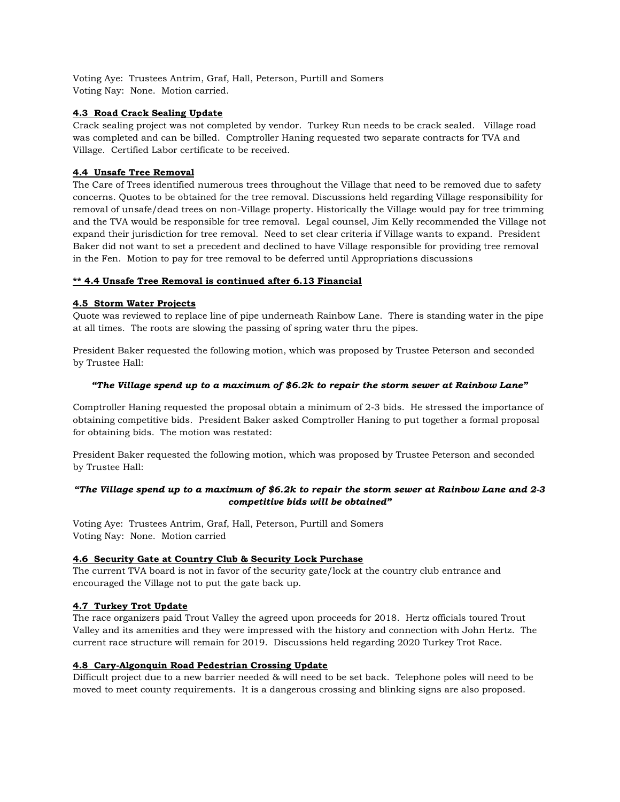Voting Aye: Trustees Antrim, Graf, Hall, Peterson, Purtill and Somers Voting Nay: None. Motion carried.

# 4.3 Road Crack Sealing Update

Crack sealing project was not completed by vendor. Turkey Run needs to be crack sealed. Village road was completed and can be billed. Comptroller Haning requested two separate contracts for TVA and Village. Certified Labor certificate to be received.

# 4.4 Unsafe Tree Removal

The Care of Trees identified numerous trees throughout the Village that need to be removed due to safety concerns. Quotes to be obtained for the tree removal. Discussions held regarding Village responsibility for removal of unsafe/dead trees on non-Village property. Historically the Village would pay for tree trimming and the TVA would be responsible for tree removal. Legal counsel, Jim Kelly recommended the Village not expand their jurisdiction for tree removal. Need to set clear criteria if Village wants to expand. President Baker did not want to set a precedent and declined to have Village responsible for providing tree removal in the Fen. Motion to pay for tree removal to be deferred until Appropriations discussions

# \*\* 4.4 Unsafe Tree Removal is continued after 6.13 Financial

# 4.5 Storm Water Projects

Quote was reviewed to replace line of pipe underneath Rainbow Lane. There is standing water in the pipe at all times. The roots are slowing the passing of spring water thru the pipes.

President Baker requested the following motion, which was proposed by Trustee Peterson and seconded by Trustee Hall:

#### "The Village spend up to a maximum of \$6.2k to repair the storm sewer at Rainbow Lane"

Comptroller Haning requested the proposal obtain a minimum of 2-3 bids. He stressed the importance of obtaining competitive bids. President Baker asked Comptroller Haning to put together a formal proposal for obtaining bids. The motion was restated:

President Baker requested the following motion, which was proposed by Trustee Peterson and seconded by Trustee Hall:

# "The Village spend up to a maximum of \$6.2k to repair the storm sewer at Rainbow Lane and 2-3 competitive bids will be obtained"

Voting Aye: Trustees Antrim, Graf, Hall, Peterson, Purtill and Somers Voting Nay: None. Motion carried

# 4.6 Security Gate at Country Club & Security Lock Purchase

The current TVA board is not in favor of the security gate/lock at the country club entrance and encouraged the Village not to put the gate back up.

# 4.7 Turkey Trot Update

The race organizers paid Trout Valley the agreed upon proceeds for 2018. Hertz officials toured Trout Valley and its amenities and they were impressed with the history and connection with John Hertz. The current race structure will remain for 2019. Discussions held regarding 2020 Turkey Trot Race.

# 4.8 Cary-Algonquin Road Pedestrian Crossing Update

Difficult project due to a new barrier needed & will need to be set back. Telephone poles will need to be moved to meet county requirements. It is a dangerous crossing and blinking signs are also proposed.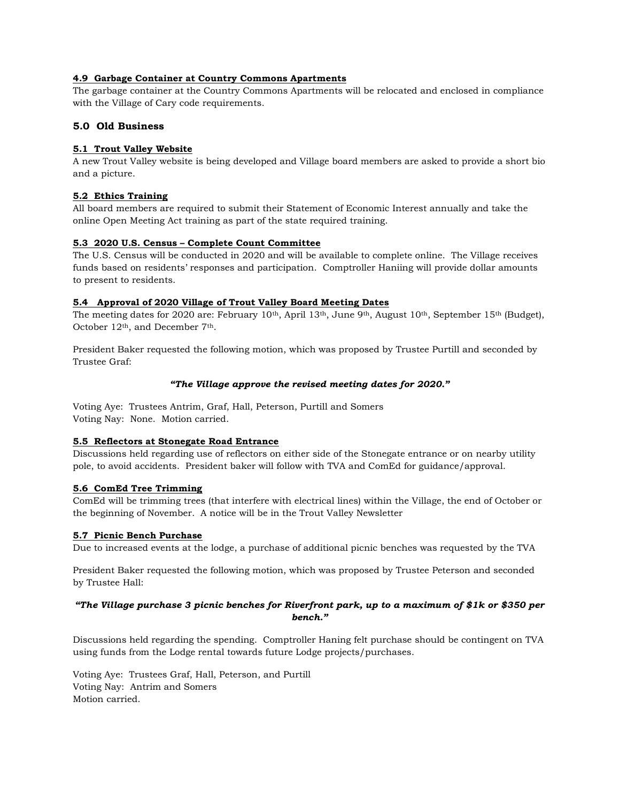# 4.9 Garbage Container at Country Commons Apartments

The garbage container at the Country Commons Apartments will be relocated and enclosed in compliance with the Village of Cary code requirements.

# 5.0 Old Business

#### 5.1 Trout Valley Website

A new Trout Valley website is being developed and Village board members are asked to provide a short bio and a picture.

#### 5.2 Ethics Training

All board members are required to submit their Statement of Economic Interest annually and take the online Open Meeting Act training as part of the state required training.

#### 5.3 2020 U.S. Census – Complete Count Committee

The U.S. Census will be conducted in 2020 and will be available to complete online. The Village receives funds based on residents' responses and participation. Comptroller Haniing will provide dollar amounts to present to residents.

#### 5.4 Approval of 2020 Village of Trout Valley Board Meeting Dates

The meeting dates for 2020 are: February 10<sup>th</sup>, April 13<sup>th</sup>, June 9<sup>th</sup>, August 10<sup>th</sup>, September 15<sup>th</sup> (Budget), October 12th, and December 7th.

President Baker requested the following motion, which was proposed by Trustee Purtill and seconded by Trustee Graf:

#### "The Village approve the revised meeting dates for 2020."

Voting Aye: Trustees Antrim, Graf, Hall, Peterson, Purtill and Somers Voting Nay: None. Motion carried.

# 5.5 Reflectors at Stonegate Road Entrance

Discussions held regarding use of reflectors on either side of the Stonegate entrance or on nearby utility pole, to avoid accidents. President baker will follow with TVA and ComEd for guidance/approval.

#### 5.6 ComEd Tree Trimming

ComEd will be trimming trees (that interfere with electrical lines) within the Village, the end of October or the beginning of November. A notice will be in the Trout Valley Newsletter

# 5.7 Picnic Bench Purchase

Due to increased events at the lodge, a purchase of additional picnic benches was requested by the TVA

President Baker requested the following motion, which was proposed by Trustee Peterson and seconded by Trustee Hall:

# "The Village purchase 3 picnic benches for Riverfront park, up to a maximum of \$1k or \$350 per bench."

Discussions held regarding the spending. Comptroller Haning felt purchase should be contingent on TVA using funds from the Lodge rental towards future Lodge projects/purchases.

Voting Aye: Trustees Graf, Hall, Peterson, and Purtill Voting Nay: Antrim and Somers Motion carried.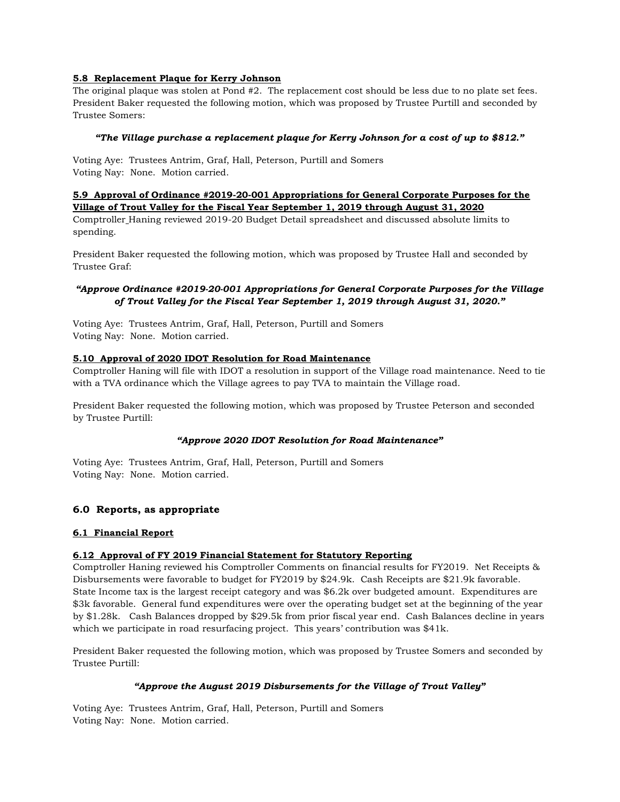# 5.8 Replacement Plaque for Kerry Johnson

The original plaque was stolen at Pond #2. The replacement cost should be less due to no plate set fees. President Baker requested the following motion, which was proposed by Trustee Purtill and seconded by Trustee Somers:

#### "The Village purchase a replacement plaque for Kerry Johnson for a cost of up to \$812."

Voting Aye: Trustees Antrim, Graf, Hall, Peterson, Purtill and Somers Voting Nay: None. Motion carried.

#### 5.9 Approval of Ordinance #2019-20-001 Appropriations for General Corporate Purposes for the Village of Trout Valley for the Fiscal Year September 1, 2019 through August 31, 2020

Comptroller Haning reviewed 2019-20 Budget Detail spreadsheet and discussed absolute limits to spending.

President Baker requested the following motion, which was proposed by Trustee Hall and seconded by Trustee Graf:

# "Approve Ordinance #2019-20-001 Appropriations for General Corporate Purposes for the Village of Trout Valley for the Fiscal Year September 1, 2019 through August 31, 2020."

Voting Aye: Trustees Antrim, Graf, Hall, Peterson, Purtill and Somers Voting Nay: None. Motion carried.

#### 5.10 Approval of 2020 IDOT Resolution for Road Maintenance

Comptroller Haning will file with IDOT a resolution in support of the Village road maintenance. Need to tie with a TVA ordinance which the Village agrees to pay TVA to maintain the Village road.

President Baker requested the following motion, which was proposed by Trustee Peterson and seconded by Trustee Purtill:

#### "Approve 2020 IDOT Resolution for Road Maintenance"

Voting Aye: Trustees Antrim, Graf, Hall, Peterson, Purtill and Somers Voting Nay: None. Motion carried.

# 6.0 Reports, as appropriate

#### 6.1 Financial Report

#### 6.12 Approval of FY 2019 Financial Statement for Statutory Reporting

Comptroller Haning reviewed his Comptroller Comments on financial results for FY2019. Net Receipts & Disbursements were favorable to budget for FY2019 by \$24.9k. Cash Receipts are \$21.9k favorable. State Income tax is the largest receipt category and was \$6.2k over budgeted amount. Expenditures are \$3k favorable. General fund expenditures were over the operating budget set at the beginning of the year by \$1.28k. Cash Balances dropped by \$29.5k from prior fiscal year end. Cash Balances decline in years which we participate in road resurfacing project. This years' contribution was \$41k.

President Baker requested the following motion, which was proposed by Trustee Somers and seconded by Trustee Purtill:

#### "Approve the August 2019 Disbursements for the Village of Trout Valley"

Voting Aye: Trustees Antrim, Graf, Hall, Peterson, Purtill and Somers Voting Nay: None. Motion carried.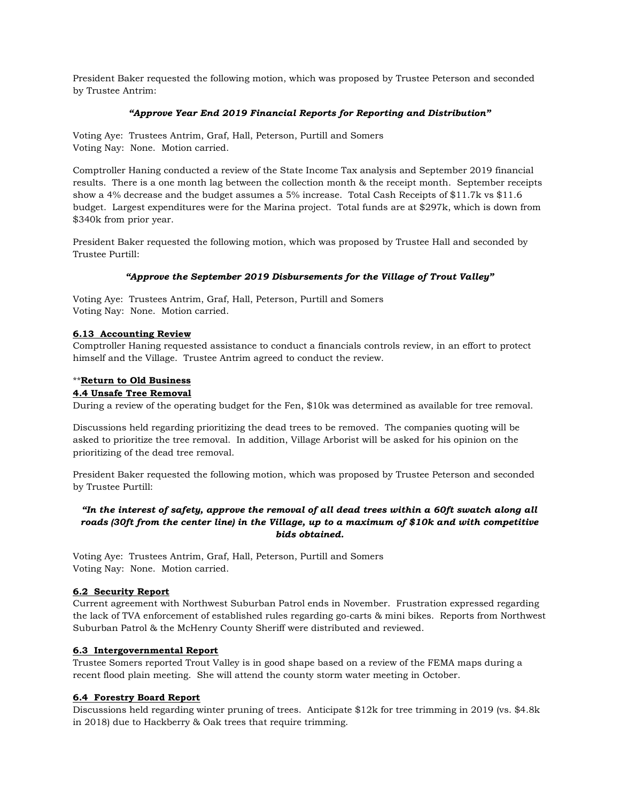President Baker requested the following motion, which was proposed by Trustee Peterson and seconded by Trustee Antrim:

#### "Approve Year End 2019 Financial Reports for Reporting and Distribution"

Voting Aye: Trustees Antrim, Graf, Hall, Peterson, Purtill and Somers Voting Nay: None. Motion carried.

Comptroller Haning conducted a review of the State Income Tax analysis and September 2019 financial results. There is a one month lag between the collection month & the receipt month. September receipts show a 4% decrease and the budget assumes a 5% increase. Total Cash Receipts of \$11.7k vs \$11.6 budget. Largest expenditures were for the Marina project. Total funds are at \$297k, which is down from \$340k from prior year.

President Baker requested the following motion, which was proposed by Trustee Hall and seconded by Trustee Purtill:

# "Approve the September 2019 Disbursements for the Village of Trout Valley"

Voting Aye: Trustees Antrim, Graf, Hall, Peterson, Purtill and Somers Voting Nay: None. Motion carried.

#### 6.13 Accounting Review

Comptroller Haning requested assistance to conduct a financials controls review, in an effort to protect himself and the Village. Trustee Antrim agreed to conduct the review.

#### \*\*Return to Old Business

#### 4.4 Unsafe Tree Removal

During a review of the operating budget for the Fen, \$10k was determined as available for tree removal.

Discussions held regarding prioritizing the dead trees to be removed. The companies quoting will be asked to prioritize the tree removal. In addition, Village Arborist will be asked for his opinion on the prioritizing of the dead tree removal.

President Baker requested the following motion, which was proposed by Trustee Peterson and seconded by Trustee Purtill:

# "In the interest of safety, approve the removal of all dead trees within a 60ft swatch along all roads (30ft from the center line) in the Village, up to a maximum of \$10k and with competitive bids obtained.

Voting Aye: Trustees Antrim, Graf, Hall, Peterson, Purtill and Somers Voting Nay: None. Motion carried.

# 6.2 Security Report

Current agreement with Northwest Suburban Patrol ends in November. Frustration expressed regarding the lack of TVA enforcement of established rules regarding go-carts & mini bikes. Reports from Northwest Suburban Patrol & the McHenry County Sheriff were distributed and reviewed.

# 6.3 Intergovernmental Report

Trustee Somers reported Trout Valley is in good shape based on a review of the FEMA maps during a recent flood plain meeting. She will attend the county storm water meeting in October.

# 6.4 Forestry Board Report

Discussions held regarding winter pruning of trees. Anticipate \$12k for tree trimming in 2019 (vs. \$4.8k in 2018) due to Hackberry & Oak trees that require trimming.